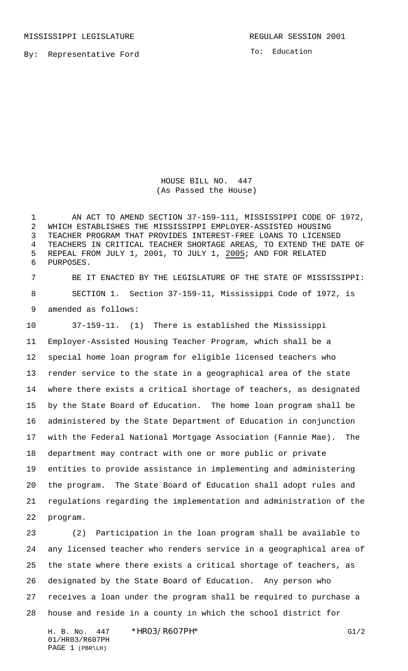MISSISSIPPI LEGISLATURE **REGULAR SESSION 2001** 

By: Representative Ford

To: Education

HOUSE BILL NO. 447 (As Passed the House)

 AN ACT TO AMEND SECTION 37-159-111, MISSISSIPPI CODE OF 1972, WHICH ESTABLISHES THE MISSISSIPPI EMPLOYER-ASSISTED HOUSING TEACHER PROGRAM THAT PROVIDES INTEREST-FREE LOANS TO LICENSED TEACHERS IN CRITICAL TEACHER SHORTAGE AREAS, TO EXTEND THE DATE OF REPEAL FROM JULY 1, 2001, TO JULY 1, 2005; AND FOR RELATED PURPOSES.

 BE IT ENACTED BY THE LEGISLATURE OF THE STATE OF MISSISSIPPI: SECTION 1. Section 37-159-11, Mississippi Code of 1972, is amended as follows:

 37-159-11. (1) There is established the Mississippi Employer-Assisted Housing Teacher Program, which shall be a special home loan program for eligible licensed teachers who render service to the state in a geographical area of the state where there exists a critical shortage of teachers, as designated by the State Board of Education. The home loan program shall be administered by the State Department of Education in conjunction with the Federal National Mortgage Association (Fannie Mae). The department may contract with one or more public or private entities to provide assistance in implementing and administering the program. The State Board of Education shall adopt rules and regulations regarding the implementation and administration of the program.

 (2) Participation in the loan program shall be available to any licensed teacher who renders service in a geographical area of the state where there exists a critical shortage of teachers, as designated by the State Board of Education. Any person who receives a loan under the program shall be required to purchase a house and reside in a county in which the school district for

H. B. No. 447 \*HR03/R607PH\* G1/2 01/HR03/R607PH PAGE 1 (PBR\LH)